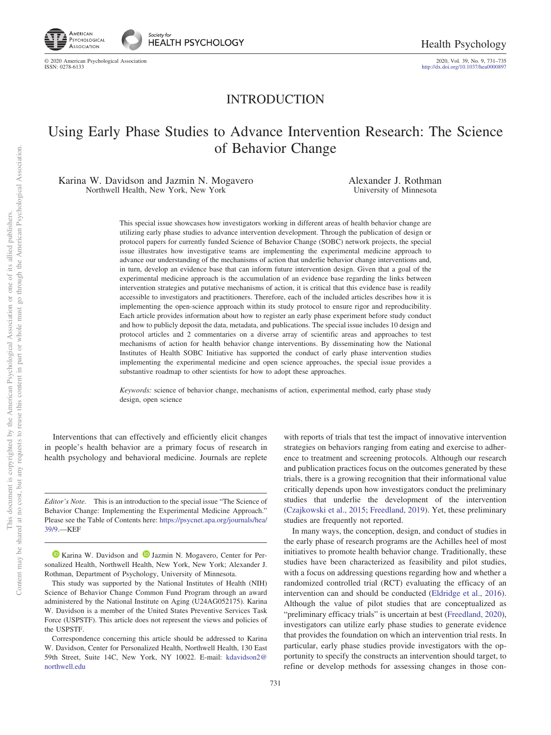

http://dx.doi.org[/10.1037/hea0000897](http://dx.doi.org/10.1037/hea0000897)

## INTRODUCTION

# Using Early Phase Studies to Advance Intervention Research: The Science of Behavior Change

Karina W. Davidson and Jazmin N. Mogavero Northwell Health, New York, New York

Alexander J. Rothman University of Minnesota

This special issue showcases how investigators working in different areas of health behavior change are utilizing early phase studies to advance intervention development. Through the publication of design or protocol papers for currently funded Science of Behavior Change (SOBC) network projects, the special issue illustrates how investigative teams are implementing the experimental medicine approach to advance our understanding of the mechanisms of action that underlie behavior change interventions and, in turn, develop an evidence base that can inform future intervention design. Given that a goal of the experimental medicine approach is the accumulation of an evidence base regarding the links between intervention strategies and putative mechanisms of action, it is critical that this evidence base is readily accessible to investigators and practitioners. Therefore, each of the included articles describes how it is implementing the open-science approach within its study protocol to ensure rigor and reproducibility. Each article provides information about how to register an early phase experiment before study conduct and how to publicly deposit the data, metadata, and publications. The special issue includes 10 design and protocol articles and 2 commentaries on a diverse array of scientific areas and approaches to test mechanisms of action for health behavior change interventions. By disseminating how the National Institutes of Health SOBC Initiative has supported the conduct of early phase intervention studies implementing the experimental medicine and open science approaches, the special issue provides a substantive roadmap to other scientists for how to adopt these approaches.

*Keywords:* science of behavior change, mechanisms of action, experimental method, early phase study design, open science

Interventions that can effectively and efficiently elicit changes in people's health behavior are a primary focus of research in health psychology and behavioral medicine. Journals are replete

*Editor's Note.* This is an introduction to the special issue "The Science of Behavior Change: Implementing the Experimental Medicine Approach." Please see the Table of Contents here: [https://psycnet.apa.org/journals/hea/](https://psycnet.apa.org/journals/hea/39/9) [39/9.](https://psycnet.apa.org/journals/hea/39/9)—KEF

<sup>1</sup> [Karina W. Davidson](https://orcid.org/0000-0002-9162-477X) and <sup>1</sup> [Jazmin N. Mogavero,](https://orcid.org/0000-0001-7921-0606) Center for Personalized Health, Northwell Health, New York, New York; Alexander J. Rothman, Department of Psychology, University of Minnesota.

This study was supported by the National Institutes of Health (NIH) Science of Behavior Change Common Fund Program through an award administered by the National Institute on Aging (U24AG052175). Karina W. Davidson is a member of the United States Preventive Services Task Force (USPSTF). This article does not represent the views and policies of the USPSTF.

Correspondence concerning this article should be addressed to Karina W. Davidson, Center for Personalized Health, Northwell Health, 130 East 59th Street, Suite 14C, New York, NY 10022. E-mail: [kdavidson2@](mailto:kdavidson2@northwell.edu) [northwell.edu](mailto:kdavidson2@northwell.edu)

with reports of trials that test the impact of innovative intervention strategies on behaviors ranging from eating and exercise to adherence to treatment and screening protocols. Although our research and publication practices focus on the outcomes generated by these trials, there is a growing recognition that their informational value critically depends upon how investigators conduct the preliminary studies that underlie the development of the intervention [\(Czajkowski et al., 2015;](#page-3-0) [Freedland, 2019\)](#page-4-0). Yet, these preliminary studies are frequently not reported.

In many ways, the conception, design, and conduct of studies in the early phase of research programs are the Achilles heel of most initiatives to promote health behavior change. Traditionally, these studies have been characterized as feasibility and pilot studies, with a focus on addressing questions regarding how and whether a randomized controlled trial (RCT) evaluating the efficacy of an intervention can and should be conducted [\(Eldridge et al., 2016\)](#page-3-1). Although the value of pilot studies that are conceptualized as "preliminary efficacy trials" is uncertain at best [\(Freedland, 2020\)](#page-4-1), investigators can utilize early phase studies to generate evidence that provides the foundation on which an intervention trial rests. In particular, early phase studies provide investigators with the opportunity to specify the constructs an intervention should target, to refine or develop methods for assessing changes in those con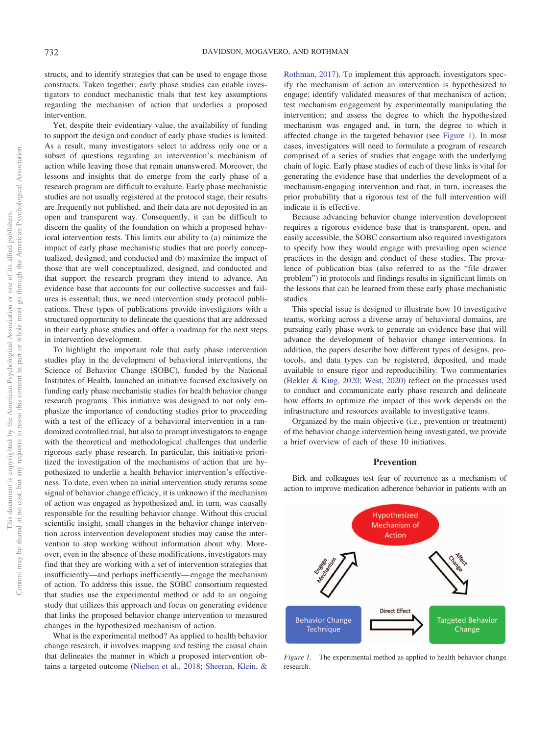structs, and to identify strategies that can be used to engage those constructs. Taken together, early phase studies can enable investigators to conduct mechanistic trials that test key assumptions regarding the mechanism of action that underlies a proposed intervention.

Yet, despite their evidentiary value, the availability of funding to support the design and conduct of early phase studies is limited. As a result, many investigators select to address only one or a subset of questions regarding an intervention's mechanism of action while leaving those that remain unanswered. Moreover, the lessons and insights that do emerge from the early phase of a research program are difficult to evaluate. Early phase mechanistic studies are not usually registered at the protocol stage, their results are frequently not published, and their data are not deposited in an open and transparent way. Consequently, it can be difficult to discern the quality of the foundation on which a proposed behavioral intervention rests. This limits our ability to (a) minimize the impact of early phase mechanistic studies that are poorly conceptualized, designed, and conducted and (b) maximize the impact of those that are well conceptualized, designed, and conducted and that support the research program they intend to advance. An evidence base that accounts for our collective successes and failures is essential; thus, we need intervention study protocol publications. These types of publications provide investigators with a structured opportunity to delineate the questions that are addressed in their early phase studies and offer a roadmap for the next steps in intervention development.

To highlight the important role that early phase intervention studies play in the development of behavioral interventions, the Science of Behavior Change (SOBC), funded by the National Institutes of Health, launched an initiative focused exclusively on funding early phase mechanistic studies for health behavior change research programs. This initiative was designed to not only emphasize the importance of conducting studies prior to proceeding with a test of the efficacy of a behavioral intervention in a randomized controlled trial, but also to prompt investigators to engage with the theoretical and methodological challenges that underlie rigorous early phase research. In particular, this initiative prioritized the investigation of the mechanisms of action that are hypothesized to underlie a health behavior intervention's effectiveness. To date, even when an initial intervention study returns some signal of behavior change efficacy, it is unknown if the mechanism of action was engaged as hypothesized and, in turn, was causally responsible for the resulting behavior change. Without this crucial scientific insight, small changes in the behavior change intervention across intervention development studies may cause the intervention to stop working without information about why. Moreover, even in the absence of these modifications, investigators may find that they are working with a set of intervention strategies that insufficiently—and perhaps inefficiently— engage the mechanism of action. To address this issue, the SOBC consortium requested that studies use the experimental method or add to an ongoing study that utilizes this approach and focus on generating evidence that links the proposed behavior change intervention to measured changes in the hypothesized mechanism of action.

What is the experimental method? As applied to health behavior change research, it involves mapping and testing the causal chain that delineates the manner in which a proposed intervention obtains a targeted outcome [\(Nielsen et al., 2018;](#page-4-2) [Sheeran, Klein, &](#page-4-3)

[Rothman, 2017\)](#page-4-3). To implement this approach, investigators specify the mechanism of action an intervention is hypothesized to engage; identify validated measures of that mechanism of action; test mechanism engagement by experimentally manipulating the intervention; and assess the degree to which the hypothesized mechanism was engaged and, in turn, the degree to which it affected change in the targeted behavior (see [Figure 1\)](#page-1-0). In most cases, investigators will need to formulate a program of research comprised of a series of studies that engage with the underlying chain of logic. Early phase studies of each of these links is vital for generating the evidence base that underlies the development of a mechanism-engaging intervention and that, in turn, increases the prior probability that a rigorous test of the full intervention will indicate it is effective.

Because advancing behavior change intervention development requires a rigorous evidence base that is transparent, open, and easily accessible, the SOBC consortium also required investigators to specify how they would engage with prevailing open science practices in the design and conduct of these studies. The prevalence of publication bias (also referred to as the "file drawer problem") in protocols and findings results in significant limits on the lessons that can be learned from these early phase mechanistic studies.

This special issue is designed to illustrate how 10 investigative teams, working across a diverse array of behavioral domains, are pursuing early phase work to generate an evidence base that will advance the development of behavior change interventions. In addition, the papers describe how different types of designs, protocols, and data types can be registered, deposited, and made available to ensure rigor and reproducibility. Two commentaries [\(Hekler & King, 2020;](#page-4-4) [West, 2020\)](#page-4-5) reflect on the processes used to conduct and communicate early phase research and delineate how efforts to optimize the impact of this work depends on the infrastructure and resources available to investigative teams.

Organized by the main objective (i.e., prevention or treatment) of the behavior change intervention being investigated, we provide a brief overview of each of these 10 initiatives.

### **Prevention**

Birk and colleagues test fear of recurrence as a mechanism of action to improve medication adherence behavior in patients with an



<span id="page-1-0"></span>*Figure 1.* The experimental method as applied to health behavior change research.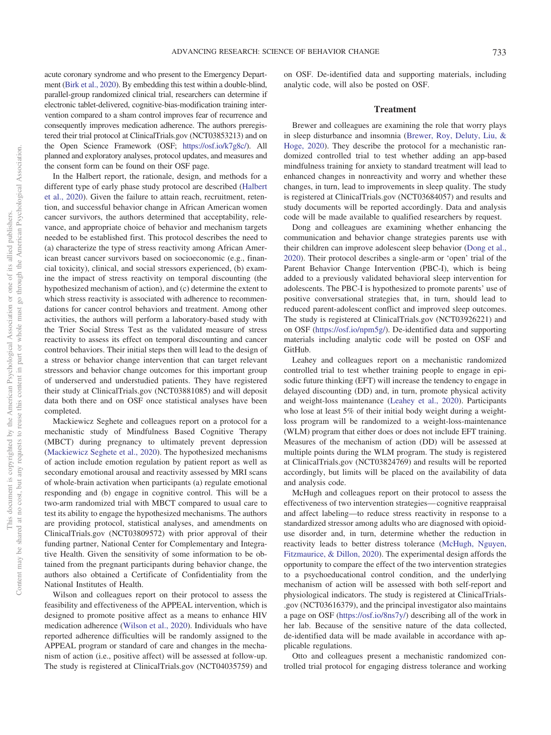acute coronary syndrome and who present to the Emergency Department [\(Birk et al., 2020\)](#page-3-2). By embedding this test within a double-blind, parallel-group randomized clinical trial, researchers can determine if electronic tablet-delivered, cognitive-bias-modification training intervention compared to a sham control improves fear of recurrence and consequently improves medication adherence. The authors preregistered their trial protocol at ClinicalTrials.gov (NCT03853213) and on the Open Science Framework (OSF; [https://osf.io/k7g8c/\)](https://osf.io/k7g8c/). All planned and exploratory analyses, protocol updates, and measures and the consent form can be found on their OSF page.

In the Halbert report, the rationale, design, and methods for a different type of early phase study protocol are described [\(Halbert](#page-4-6) [et al., 2020\)](#page-4-6). Given the failure to attain reach, recruitment, retention, and successful behavior change in African American women cancer survivors, the authors determined that acceptability, relevance, and appropriate choice of behavior and mechanism targets needed to be established first. This protocol describes the need to (a) characterize the type of stress reactivity among African American breast cancer survivors based on socioeconomic (e.g., financial toxicity), clinical, and social stressors experienced, (b) examine the impact of stress reactivity on temporal discounting (the hypothesized mechanism of action), and (c) determine the extent to which stress reactivity is associated with adherence to recommendations for cancer control behaviors and treatment. Among other activities, the authors will perform a laboratory-based study with the Trier Social Stress Test as the validated measure of stress reactivity to assess its effect on temporal discounting and cancer control behaviors. Their initial steps then will lead to the design of a stress or behavior change intervention that can target relevant stressors and behavior change outcomes for this important group of underserved and understudied patients. They have registered their study at ClinicalTrials.gov (NCT03881085) and will deposit data both there and on OSF once statistical analyses have been completed.

Mackiewicz Seghete and colleagues report on a protocol for a mechanistic study of Mindfulness Based Cognitive Therapy (MBCT) during pregnancy to ultimately prevent depression [\(Mackiewicz Seghete et al., 2020\)](#page-4-7). The hypothesized mechanisms of action include emotion regulation by patient report as well as secondary emotional arousal and reactivity assessed by MRI scans of whole-brain activation when participants (a) regulate emotional responding and (b) engage in cognitive control. This will be a two-arm randomized trial with MBCT compared to usual care to test its ability to engage the hypothesized mechanisms. The authors are providing protocol, statistical analyses, and amendments on ClinicalTrials.gov (NCT03809572) with prior approval of their funding partner, National Center for Complementary and Integrative Health. Given the sensitivity of some information to be obtained from the pregnant participants during behavior change, the authors also obtained a Certificate of Confidentiality from the National Institutes of Health.

Wilson and colleagues report on their protocol to assess the feasibility and effectiveness of the APPEAL intervention, which is designed to promote positive affect as a means to enhance HIV medication adherence [\(Wilson et al., 2020\)](#page-4-8). Individuals who have reported adherence difficulties will be randomly assigned to the APPEAL program or standard of care and changes in the mechanism of action (i.e., positive affect) will be assessed at follow-up. The study is registered at ClinicalTrials.gov (NCT04035759) and on OSF. De-identified data and supporting materials, including analytic code, will also be posted on OSF.

#### **Treatment**

Brewer and colleagues are examining the role that worry plays in sleep disturbance and insomnia [\(Brewer, Roy, Deluty, Liu, &](#page-3-3) [Hoge, 2020\)](#page-3-3). They describe the protocol for a mechanistic randomized controlled trial to test whether adding an app-based mindfulness training for anxiety to standard treatment will lead to enhanced changes in nonreactivity and worry and whether these changes, in turn, lead to improvements in sleep quality. The study is registered at ClinicalTrials.gov (NCT03684057) and results and study documents will be reported accordingly. Data and analysis code will be made available to qualified researchers by request.

Dong and colleagues are examining whether enhancing the communication and behavior change strategies parents use with their children can improve adolescent sleep behavior [\(Dong et al.,](#page-3-4) [2020\)](#page-3-4). Their protocol describes a single-arm or 'open' trial of the Parent Behavior Change Intervention (PBC-I), which is being added to a previously validated behavioral sleep intervention for adolescents. The PBC-I is hypothesized to promote parents' use of positive conversational strategies that, in turn, should lead to reduced parent-adolescent conflict and improved sleep outcomes. The study is registered at ClinicalTrials.gov (NCT03926221) and on OSF [\(https://osf.io/npm5g/\)](https://osf.io/npm5g/). De-identified data and supporting materials including analytic code will be posted on OSF and GitHub.

Leahey and colleagues report on a mechanistic randomized controlled trial to test whether training people to engage in episodic future thinking (EFT) will increase the tendency to engage in delayed discounting (DD) and, in turn, promote physical activity and weight-loss maintenance [\(Leahey et al., 2020\)](#page-4-9). Participants who lose at least 5% of their initial body weight during a weightloss program will be randomized to a weight-loss-maintenance (WLM) program that either does or does not include EFT training. Measures of the mechanism of action (DD) will be assessed at multiple points during the WLM program. The study is registered at ClinicalTrials.gov (NCT03824769) and results will be reported accordingly, but limits will be placed on the availability of data and analysis code.

McHugh and colleagues report on their protocol to assess the effectiveness of two intervention strategies— cognitive reappraisal and affect labeling—to reduce stress reactivity in response to a standardized stressor among adults who are diagnosed with opioiduse disorder and, in turn, determine whether the reduction in reactivity leads to better distress tolerance [\(McHugh, Nguyen,](#page-4-10) [Fitzmaurice, & Dillon, 2020\)](#page-4-10). The experimental design affords the opportunity to compare the effect of the two intervention strategies to a psychoeducational control condition, and the underlying mechanism of action will be assessed with both self-report and physiological indicators. The study is registered at ClinicalTrials- .gov (NCT03616379), and the principal investigator also maintains a page on OSF [\(https://osf.io/8ns7y/\)](https://osf.io/8ns7y/) describing all of the work in her lab. Because of the sensitive nature of the data collected, de-identified data will be made available in accordance with applicable regulations.

Otto and colleagues present a mechanistic randomized controlled trial protocol for engaging distress tolerance and working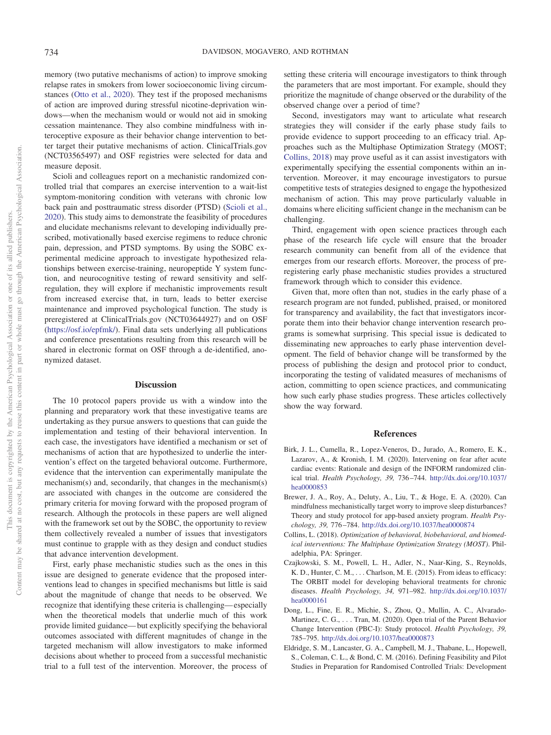This document is copyrighted by the American Psychological Association or one of its allied publishers. Content may be shared at no cost, but any requests to reuse this content in part or whole must go through the American Psychological Association.

This document is copyrighted by the American Psychological

Content may be shared at no cost, but any requests to reuse this content in

Association or

part or whole must go through the American Psychological Association. one of its allied publishers

memory (two putative mechanisms of action) to improve smoking relapse rates in smokers from lower socioeconomic living circumstances [\(Otto et al., 2020\)](#page-4-11). They test if the proposed mechanisms of action are improved during stressful nicotine-deprivation windows—when the mechanism would or would not aid in smoking cessation maintenance. They also combine mindfulness with interoceptive exposure as their behavior change intervention to better target their putative mechanisms of action. ClinicalTrials.gov (NCT03565497) and OSF registries were selected for data and measure deposit.

Scioli and colleagues report on a mechanistic randomized controlled trial that compares an exercise intervention to a wait-list symptom-monitoring condition with veterans with chronic low back pain and posttraumatic stress disorder (PTSD) [\(Scioli et al.,](#page-4-12) [2020\)](#page-4-12). This study aims to demonstrate the feasibility of procedures and elucidate mechanisms relevant to developing individually prescribed, motivationally based exercise regimens to reduce chronic pain, depression, and PTSD symptoms. By using the SOBC experimental medicine approach to investigate hypothesized relationships between exercise-training, neuropeptide Y system function, and neurocognitive testing of reward sensitivity and selfregulation, they will explore if mechanistic improvements result from increased exercise that, in turn, leads to better exercise maintenance and improved psychological function. The study is preregistered at ClinicalTrials.gov (NCT03644927) and on OSF [\(https://osf.io/epfmk/\)](https://osf.io/epfmk/). Final data sets underlying all publications and conference presentations resulting from this research will be shared in electronic format on OSF through a de-identified, anonymized dataset.

#### **Discussion**

The 10 protocol papers provide us with a window into the planning and preparatory work that these investigative teams are undertaking as they pursue answers to questions that can guide the implementation and testing of their behavioral intervention. In each case, the investigators have identified a mechanism or set of mechanisms of action that are hypothesized to underlie the intervention's effect on the targeted behavioral outcome. Furthermore, evidence that the intervention can experimentally manipulate the mechanism(s) and, secondarily, that changes in the mechanism(s) are associated with changes in the outcome are considered the primary criteria for moving forward with the proposed program of research. Although the protocols in these papers are well aligned with the framework set out by the SOBC, the opportunity to review them collectively revealed a number of issues that investigators must continue to grapple with as they design and conduct studies that advance intervention development.

First, early phase mechanistic studies such as the ones in this issue are designed to generate evidence that the proposed interventions lead to changes in specified mechanisms but little is said about the magnitude of change that needs to be observed. We recognize that identifying these criteria is challenging— especially when the theoretical models that underlie much of this work provide limited guidance— but explicitly specifying the behavioral outcomes associated with different magnitudes of change in the targeted mechanism will allow investigators to make informed decisions about whether to proceed from a successful mechanistic trial to a full test of the intervention. Moreover, the process of

setting these criteria will encourage investigators to think through the parameters that are most important. For example, should they prioritize the magnitude of change observed or the durability of the observed change over a period of time?

Second, investigators may want to articulate what research strategies they will consider if the early phase study fails to provide evidence to support proceeding to an efficacy trial. Approaches such as the Multiphase Optimization Strategy (MOST; [Collins, 2018\)](#page-3-5) may prove useful as it can assist investigators with experimentally specifying the essential components within an intervention. Moreover, it may encourage investigators to pursue competitive tests of strategies designed to engage the hypothesized mechanism of action. This may prove particularly valuable in domains where eliciting sufficient change in the mechanism can be challenging.

Third, engagement with open science practices through each phase of the research life cycle will ensure that the broader research community can benefit from all of the evidence that emerges from our research efforts. Moreover, the process of preregistering early phase mechanistic studies provides a structured framework through which to consider this evidence.

Given that, more often than not, studies in the early phase of a research program are not funded, published, praised, or monitored for transparency and availability, the fact that investigators incorporate them into their behavior change intervention research programs is somewhat surprising. This special issue is dedicated to disseminating new approaches to early phase intervention development. The field of behavior change will be transformed by the process of publishing the design and protocol prior to conduct, incorporating the testing of validated measures of mechanisms of action, committing to open science practices, and communicating how such early phase studies progress. These articles collectively show the way forward.

#### **References**

- <span id="page-3-2"></span>Birk, J. L., Cumella, R., Lopez-Veneros, D., Jurado, A., Romero, E. K., Lazarov, A., & Kronish, I. M. (2020). Intervening on fear after acute cardiac events: Rationale and design of the INFORM randomized clinical trial. *Health Psychology, 39,* 736 –744. [http://dx.doi.org/10.1037/](http://dx.doi.org/10.1037/hea0000853) [hea0000853](http://dx.doi.org/10.1037/hea0000853)
- <span id="page-3-3"></span>Brewer, J. A., Roy, A., Deluty, A., Liu, T., & Hoge, E. A. (2020). Can mindfulness mechanistically target worry to improve sleep disturbances? Theory and study protocol for app-based anxiety program. *Health Psychology, 39,* 776 –784. <http://dx.doi.org/10.1037/hea0000874>
- <span id="page-3-5"></span>Collins, L. (2018). *Optimization of behavioral, biobehavioral, and biomedical interventions: The Multiphase Optimization Strategy (MOST)*. Philadelphia, PA: Springer.
- <span id="page-3-0"></span>Czajkowski, S. M., Powell, L. H., Adler, N., Naar-King, S., Reynolds, K. D., Hunter, C. M., ... Charlson, M. E. (2015). From ideas to efficacy: The ORBIT model for developing behavioral treatments for chronic diseases. *Health Psychology, 34,* 971–982. [http://dx.doi.org/10.1037/](http://dx.doi.org/10.1037/hea0000161) [hea0000161](http://dx.doi.org/10.1037/hea0000161)
- <span id="page-3-4"></span>Dong, L., Fine, E. R., Michie, S., Zhou, Q., Mullin, A. C., Alvarado-Martinez, C. G.,... Tran, M. (2020). Open trial of the Parent Behavior Change Intervention (PBC-I): Study protocol. *Health Psychology, 39,* 785–795. <http://dx.doi.org/10.1037/hea0000873>
- <span id="page-3-1"></span>Eldridge, S. M., Lancaster, G. A., Campbell, M. J., Thabane, L., Hopewell, S., Coleman, C. L., & Bond, C. M. (2016). Defining Feasibility and Pilot Studies in Preparation for Randomised Controlled Trials: Development